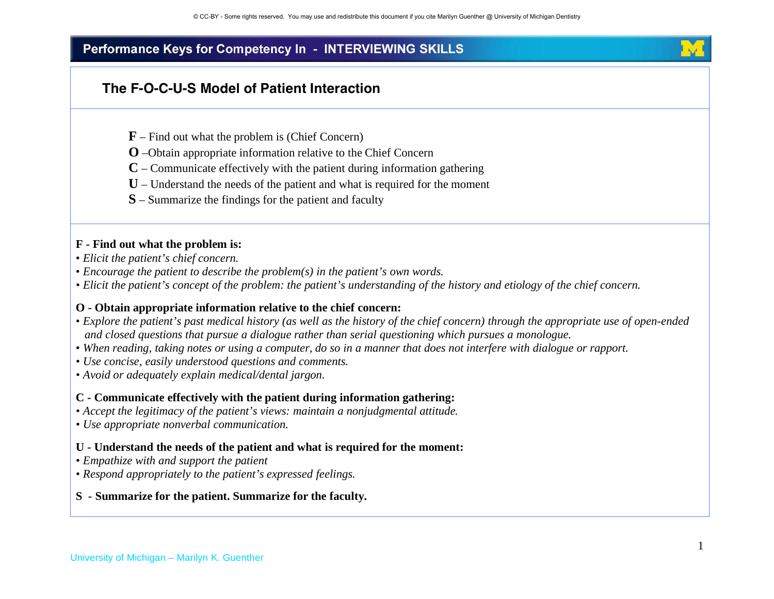## **The F-O-C-U-S Model of Patient Interaction**

- **F** Find out what the problem is (Chief Concern)
- **O** –Obtain appropriate information relative to the Chief Concern
- **C** Communicate effectively with the patient during information gathering
- **U** Understand the needs of the patient and what is required for the moment
- **S** Summarize the findings for the patient and faculty

#### **F - Find out what the problem is:**

- *Elicit the patient's chief concern.*
- *Encourage the patient to describe the problem(s) in the patient's own words.*
- *Elicit the patient's concept of the problem: the patient's understanding of the history and etiology of the chief concern.*

#### **O - Obtain appropriate information relative to the chief concern:**

- *Explore the patient's past medical history (as well as the history of the chief concern) through the appropriate use of open-ended and closed questions that pursue a dialogue rather than serial questioning which pursues a monologue.*
- *When reading, taking notes or using a computer, do so in a manner that does not interfere with dialogue or rapport.*
- *Use concise, easily understood questions and comments.*
- *Avoid or adequately explain medical/dental jargon.*

#### **C - Communicate effectively with the patient during information gathering:**

- *Accept the legitimacy of the patient's views: maintain a nonjudgmental attitude.*
- *Use appropriate nonverbal communication.*

#### **U - Understand the needs of the patient and what is required for the moment:**

- *Empathize with and support the patient*
- *Respond appropriately to the patient's expressed feelings.*

#### **S - Summarize for the patient. Summarize for the faculty.**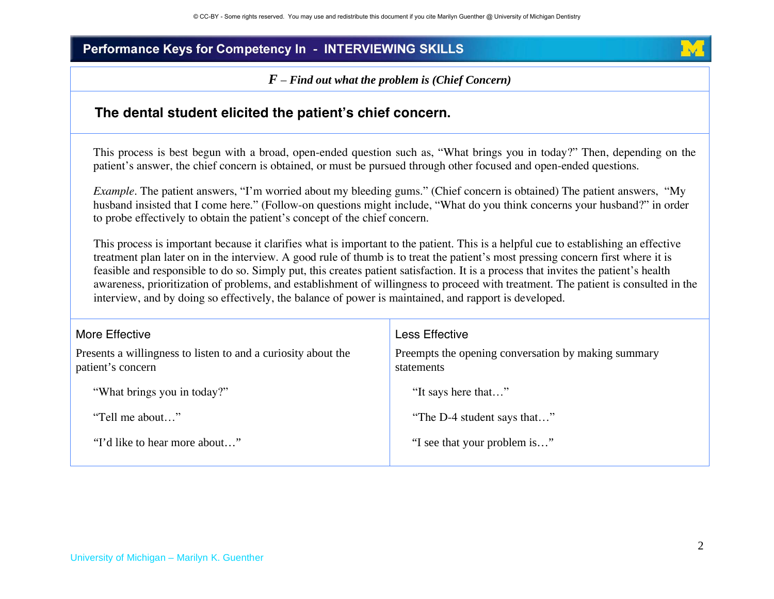*F – Find out what the problem is (Chief Concern)*

### **The dental student elicited the patients chief concern.**

This process is best begun with a broad, open-ended question such as, "What brings you in today?" Then, depending on the patient's answer, the chief concern is obtained, or must be pursued through other focused and open-ended questions.

*Example*. The patient answers, "I'm worried about my bleeding gums." (Chief concern is obtained) The patient answers, "My husband insisted that I come here." (Follow-on questions might include, "What do you think concerns your husband?" in order to probe effectively to obtain the patient's concept of the chief concern.

 This process is important because it clarifies what is important to the patient. This is a helpful cue to establishing an effective treatment plan later on in the interview. A good rule of thumb is to treat the patient's most pressing concern first where it is feasible and responsible to do so. Simply put, this creates patient satisfaction. It is a process that invites the patient's health awareness, prioritization of problems, and establishment of willingness to proceed with treatment. The patient is consulted in the interview, and by doing so effectively, the balance of power is maintained, and rapport is developed.

| More Effective<br>Presents a willingness to listen to and a curiosity about the<br>patient's concern | Less Effective<br>Preempts the opening conversation by making summary<br>statements |
|------------------------------------------------------------------------------------------------------|-------------------------------------------------------------------------------------|
| "What brings you in today?"                                                                          | "It says here that"                                                                 |
| "Tell me about"                                                                                      | "The D-4 student says that"                                                         |
| "I'd like to hear more about"                                                                        | "I see that your problem is"                                                        |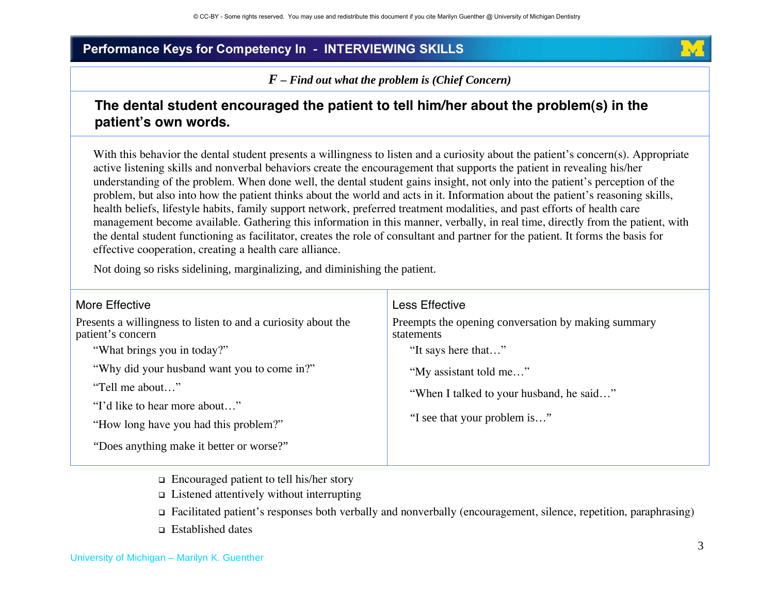*F – Find out what the problem is (Chief Concern)* 

## **The dental student encouraged the patient to tell him/her about the problem(s) in the patients own words.**

With this behavior the dental student presents a willingness to listen and a curiosity about the patient's concern(s). Appropriate active listening skills and nonverbal behaviors create the encouragement that supports the patient in revealing his/her understanding of the problem. When done well, the dental student gains insight, not only into the patient's perception of the problem, but also into how the patient thinks about the world and acts in it. Information about the patient's reasoning skills, health beliefs, lifestyle habits, family support network, preferred treatment modalities, and past efforts of health care management become available. Gathering this information in this manner, verbally, in real time, directly from the patient, with the dental student functioning as facilitator, creates the role of consultant and partner for the patient. It forms the basis for effective cooperation, creating a health care alliance.

Not doing so risks sidelining, marginalizing, and diminishing the patient.

| More Effective                                                                     | Less Effective                                                    |
|------------------------------------------------------------------------------------|-------------------------------------------------------------------|
| Presents a willingness to listen to and a curiosity about the<br>patient's concern | Preempts the opening conversation by making summary<br>statements |
| "What brings you in today?"                                                        | "It says here that"                                               |
| "Why did your husband want you to come in?"                                        | "My assistant told me"                                            |
| "Tell me about"                                                                    | "When I talked to your husband, he said"                          |
| "I'd like to hear more about"                                                      |                                                                   |
| "How long have you had this problem?"                                              | "I see that your problem is"                                      |
| "Does anything make it better or worse?"                                           |                                                                   |

- $\Box$  Encouraged patient to tell his/her story
- $\Box$  Listened attentively without interrupting
- Facilitated patient's responses both verbally and nonverbally (encouragement, silence, repetition, paraphrasing)
- □ Established dates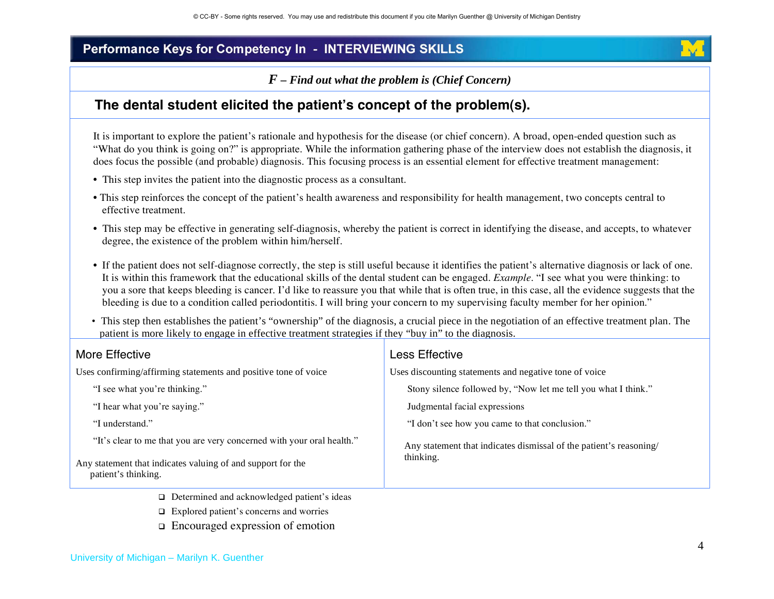*F – Find out what the problem is (Chief Concern)* 

### **The dental student elicited the patients concept of the problem(s).**

It is important to explore the patient's rationale and hypothesis for the disease (or chief concern). A broad, open-ended question such as "What do you think is going on?" is appropriate. While the information gathering phase of the interview does not establish the diagnosis, it does focus the possible (and probable) diagnosis. This focusing process is an essential element for effective treatment management:

- This step invites the patient into the diagnostic process as a consultant.
- This step reinforces the concept of the patient's health awareness and responsibility for health management, two concepts central to effective treatment.
- This step may be effective in generating self-diagnosis, whereby the patient is correct in identifying the disease, and accepts, to whatever degree, the existence of the problem within him/herself.
- If the patient does not self-diagnose correctly, the step is still useful because it identifies the patient's alternative diagnosis or lack of one. It is within this framework that the educational skills of the dental student can be engaged. *Example*. "I see what you were thinking: to you a sore that keeps bleeding is cancer. I'd like to reassure you that while that is often true, in this case, all the evidence suggests that the bleeding is due to a condition called periodontitis. I will bring your concern to my supervising faculty member for her opinion."
- This step then establishes the patient's "ownership" of the diagnosis, a crucial piece in the negotiation of an effective treatment plan. The patient is more likely to engage in effective treatment strategies if they "buy in" to the diagnosis.

| More Effective                                                                     | Less Effective                                                                  |
|------------------------------------------------------------------------------------|---------------------------------------------------------------------------------|
| Uses confirming/affirming statements and positive tone of voice                    | Uses discounting statements and negative tone of voice                          |
| "I see what you're thinking."                                                      | Stony silence followed by, "Now let me tell you what I think."                  |
| "I hear what you're saying."                                                       | Judgmental facial expressions                                                   |
| "I understand."                                                                    | "I don't see how you came to that conclusion."                                  |
| "It's clear to me that you are very concerned with your oral health."              | Any statement that indicates dismissal of the patient's reasoning/<br>thinking. |
| Any statement that indicates valuing of and support for the<br>patient's thinking. |                                                                                 |
| $\Box$ Determined and acknowledged patient's ideas                                 |                                                                                 |

- Explored patient's concerns and worries
- Encouraged expression of emotion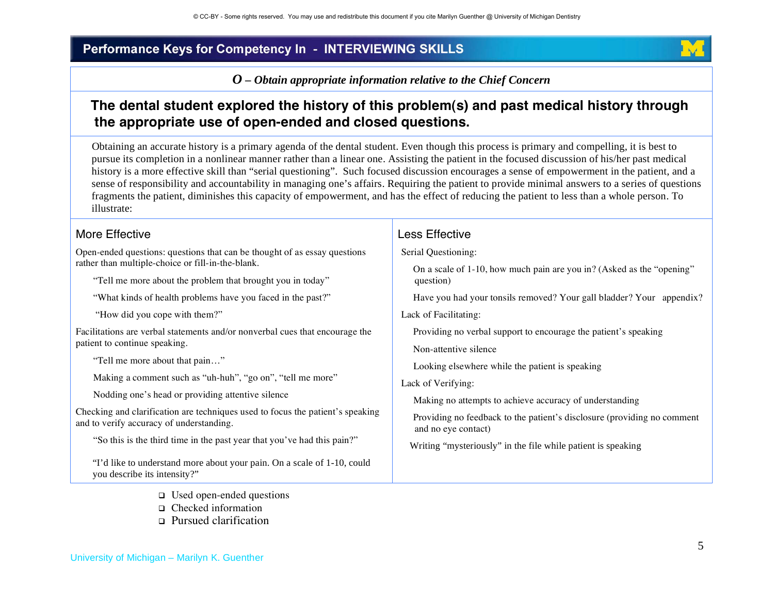*O – Obtain appropriate information relative to the Chief Concern* 

## **The dental student explored the history of this problem(s) and past medical history through the appropriate use of open-ended and closed questions.**

 Obtaining an accurate history is a primary agenda of the dental student. Even though this process is primary and compelling, it is best to pursue its completion in a nonlinear manner rather than a linear one. Assisting the patient in the focused discussion of his/her past medical history is a more effective skill than "serial questioning". Such focused discussion encourages a sense of empowerment in the patient, and a sense of responsibility and accountability in managing one's affairs. Requiring the patient to provide minimal answers to a series of questions fragments the patient, diminishes this capacity of empowerment, and has the effect of reducing the patient to less than a whole person. To illustrate:

> Less Effective Serial Questioning:

> > question)

Lack of Facilitating:

Lack of Verifying:

Non-attentive silence

and no eye contact)

On a scale of 1-10, how much pain are you in? (Asked as the "opening"

Have you had your tonsils removed? Your gall bladder? Your appendix?

Providing no feedback to the patient's disclosure (providing no comment

Providing no verbal support to encourage the patient's speaking

Looking elsewhere while the patient is speaking

Making no attempts to achieve accuracy of understanding

Writing "mysteriously" in the file while patient is speaking

#### More Effective

Open-ended questions: questions that can be thought of as essay questions rather than multiple-choice or fill-in-the-blank.

"Tell me more about the problem that brought you in today"

"What kinds of health problems have you faced in the past?"

"How did you cope with them?"

Facilitations are verbal statements and/or nonverbal cues that encourage the patient to continue speaking.

"Tell me more about that pain…"

Making a comment such as "uh-huh", "go on", "tell me more"

Nodding one's head or providing attentive silence

Checking and clarification are techniques used to focus the patient's speaking and to verify accuracy of understanding.

"So this is the third time in the past year that you've had this pain?"

 "I'd like to understand more about your pain. On a scale of 1-10, could you describe its intensity?"

- Used open-ended questions
- □ Checked information
- □ Pursued clarification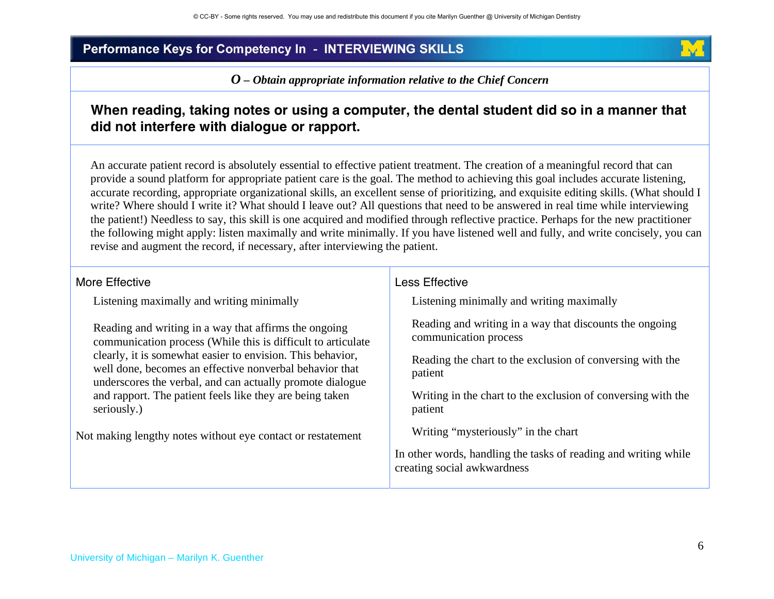*O – Obtain appropriate information relative to the Chief Concern*

## **When reading, taking notes or using a computer, the dental student did so in a manner that did not interfere with dialogue or rapport.**

 An accurate patient record is absolutely essential to effective patient treatment. The creation of a meaningful record that can provide a sound platform for appropriate patient care is the goal. The method to achieving this goal includes accurate listening, accurate recording, appropriate organizational skills, an excellent sense of prioritizing, and exquisite editing skills. (What should I write? Where should I write it? What should I leave out? All questions that need to be answered in real time while interviewing the patient!) Needless to say, this skill is one acquired and modified through reflective practice. Perhaps for the new practitioner the following might apply: listen maximally and write minimally. If you have listened well and fully, and write concisely, you can revise and augment the record, if necessary, after interviewing the patient.

#### More Effective

Listening maximally and writing minimally

Reading and writing in a way that affirms the ongoing communication process (While this is difficult to articulate clearly, it is somewhat easier to envision. This behavior, well done, becomes an effective nonverbal behavior that underscores the verbal, and can actually promote dialogue and rapport. The patient feels like they are being taken seriously.)

Not making lengthy notes without eye contact or restatement

#### Less Effective

Listening minimally and writing maximally

Reading and writing in a way that discounts the ongoing communication process

Reading the chart to the exclusion of conversing with the patient

Writing in the chart to the exclusion of conversing with the patient

Writing "mysteriously" in the chart

In other words, handling the tasks of reading and writing while creating social awkwardness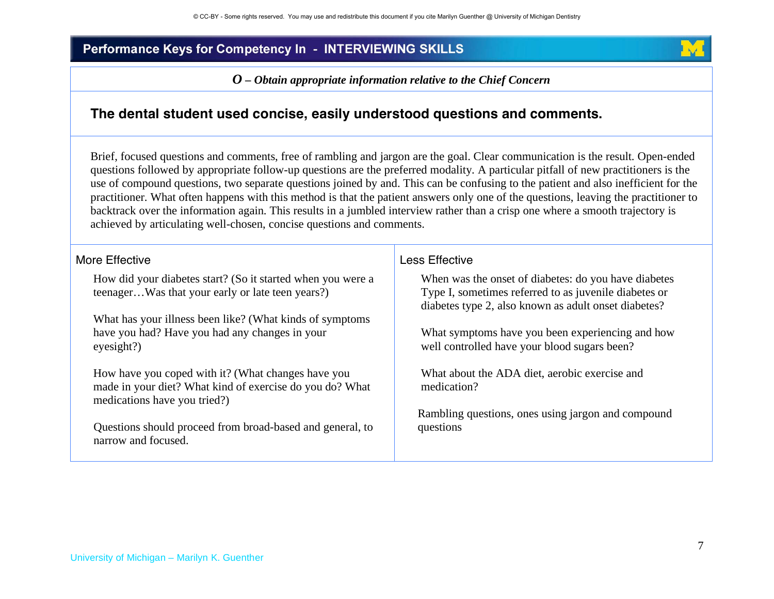*O – Obtain appropriate information relative to the Chief Concern*

### **The dental student used concise, easily understood questions and comments.**

 Brief, focused questions and comments, free of rambling and jargon are the goal. Clear communication is the result. Open-ended questions followed by appropriate follow-up questions are the preferred modality. A particular pitfall of new practitioners is the use of compound questions, two separate questions joined by and. This can be confusing to the patient and also inefficient for the practitioner. What often happens with this method is that the patient answers only one of the questions, leaving the practitioner to backtrack over the information again. This results in a jumbled interview rather than a crisp one where a smooth trajectory is achieved by articulating well-chosen, concise questions and comments.

More Effective

How did your diabetes start? (So it started when you were a teenager…Was that your early or late teen years?)

What has your illness been like? (What kinds of symptoms have you had? Have you had any changes in your eyesight?)

How have you coped with it? (What changes have you made in your diet? What kind of exercise do you do? What medications have you tried?)

 Questions should proceed from broad-based and general, to narrow and focused.

#### Less Effective

When was the onset of diabetes: do you have diabetes Type I, sometimes referred to as juvenile diabetes or diabetes type 2, also known as adult onset diabetes?

What symptoms have you been experiencing and how well controlled have your blood sugars been?

What about the ADA diet, aerobic exercise and medication?

 Rambling questions, ones using jargon and compound questions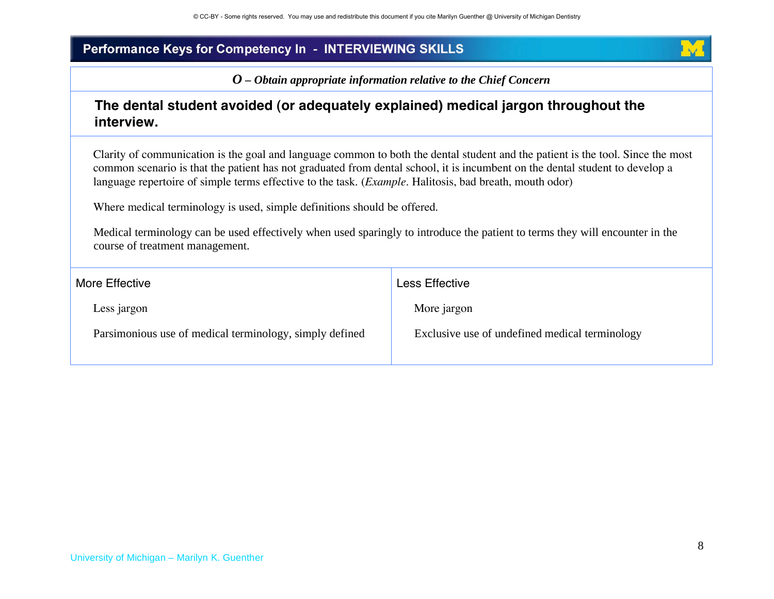*O – Obtain appropriate information relative to the Chief Concern*

### **The dental student avoided (or adequately explained) medical jargon throughout the interview.**

Clarity of communication is the goal and language common to both the dental student and the patient is the tool. Since the most common scenario is that the patient has not graduated from dental school, it is incumbent on the dental student to develop a language repertoire of simple terms effective to the task. (*Example*. Halitosis, bad breath, mouth odor)

Where medical terminology is used, simple definitions should be offered.

 Medical terminology can be used effectively when used sparingly to introduce the patient to terms they will encounter in the course of treatment management.

| More Effective                                          | Less Effective                                 |
|---------------------------------------------------------|------------------------------------------------|
| Less jargon                                             | More jargon                                    |
| Parsimonious use of medical terminology, simply defined | Exclusive use of undefined medical terminology |
|                                                         |                                                |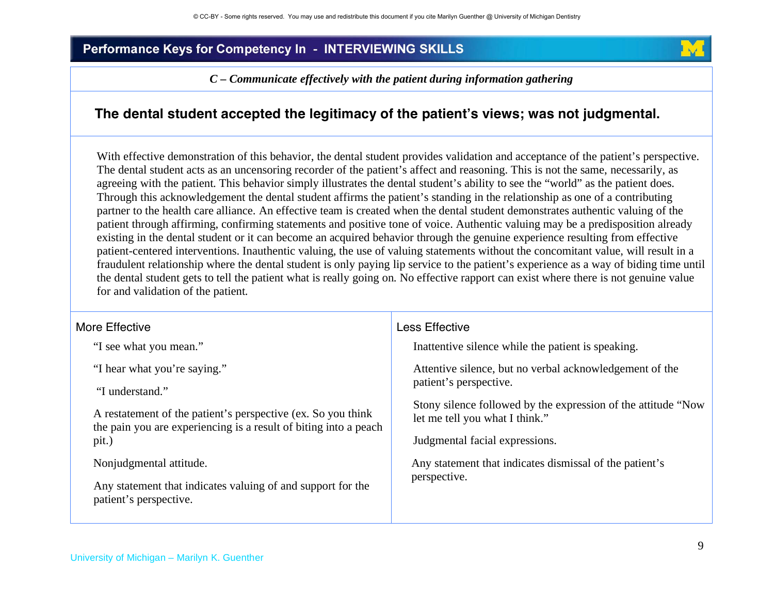*C – Communicate effectively with the patient during information gathering* 

### **The dental student accepted the legitimacy of the patients views; was not judgmental.**

With effective demonstration of this behavior, the dental student provides validation and acceptance of the patient's perspective. The dental student acts as an uncensoring recorder of the patient's affect and reasoning. This is not the same, necessarily, as agreeing with the patient. This behavior simply illustrates the dental student's ability to see the "world" as the patient does. Through this acknowledgement the dental student affirms the patient's standing in the relationship as one of a contributing partner to the health care alliance. An effective team is created when the dental student demonstrates authentic valuing of the patient through affirming, confirming statements and positive tone of voice. Authentic valuing may be a predisposition already existing in the dental student or it can become an acquired behavior through the genuine experience resulting from effective patient-centered interventions. Inauthentic valuing, the use of valuing statements without the concomitant value, will result in a fraudulent relationship where the dental student is only paying lip service to the patient's experience as a way of biding time until the dental student gets to tell the patient what is really going on. No effective rapport can exist where there is not genuine value for and validation of the patient.

| More Effective                                                                                                   | Less Effective                                                          |
|------------------------------------------------------------------------------------------------------------------|-------------------------------------------------------------------------|
| "I see what you mean."                                                                                           | Inattentive silence while the patient is speaking.                      |
| "I hear what you're saying."                                                                                     | Attentive silence, but no verbal acknowledgement of the                 |
| "I understand."                                                                                                  | patient's perspective.                                                  |
| A restatement of the patient's perspective (ex. So you think                                                     | Stony silence followed by the expression of the attitude "Now"          |
| the pain you are experiencing is a result of biting into a peach                                                 | let me tell you what I think."                                          |
| pit.)                                                                                                            | Judgmental facial expressions.                                          |
| Nonjudgmental attitude.<br>Any statement that indicates valuing of and support for the<br>patient's perspective. | Any statement that indicates dismissal of the patient's<br>perspective. |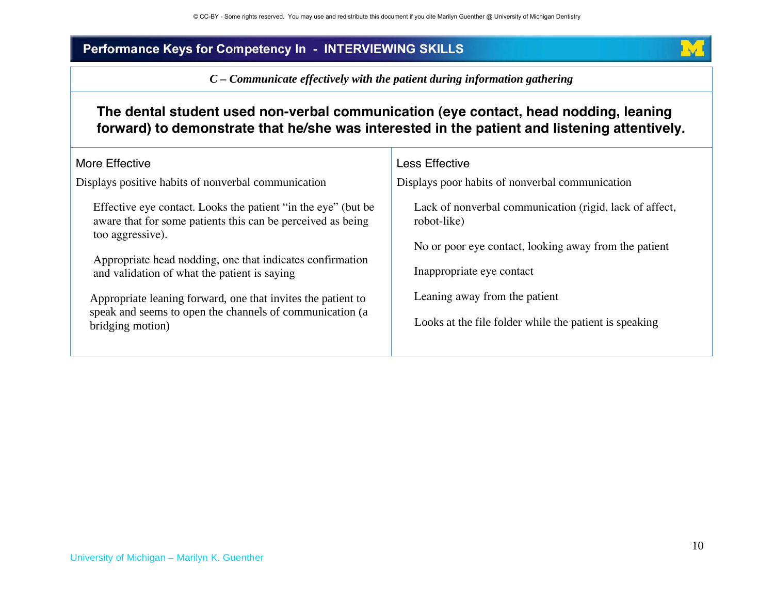*C – Communicate effectively with the patient during information gathering*

## **The dental student used non-verbal communication (eye contact, head nodding, leaning forward) to demonstrate that he/she was interested in the patient and listening attentively.**

| More Effective<br>Displays positive habits of nonverbal communication                                                                                                                                                                                                                                                                                                                                         | Less Effective<br>Displays poor habits of nonverbal communication                                                                                                                                                                                       |
|---------------------------------------------------------------------------------------------------------------------------------------------------------------------------------------------------------------------------------------------------------------------------------------------------------------------------------------------------------------------------------------------------------------|---------------------------------------------------------------------------------------------------------------------------------------------------------------------------------------------------------------------------------------------------------|
| Effective eye contact. Looks the patient "in the eye" (but be<br>aware that for some patients this can be perceived as being<br>too aggressive).<br>Appropriate head nodding, one that indicates confirmation<br>and validation of what the patient is saying<br>Appropriate leaning forward, one that invites the patient to<br>speak and seems to open the channels of communication (a<br>bridging motion) | Lack of nonverbal communication (rigid, lack of affect,<br>robot-like)<br>No or poor eye contact, looking away from the patient<br>Inappropriate eye contact<br>Leaning away from the patient<br>Looks at the file folder while the patient is speaking |
|                                                                                                                                                                                                                                                                                                                                                                                                               |                                                                                                                                                                                                                                                         |

**INGL**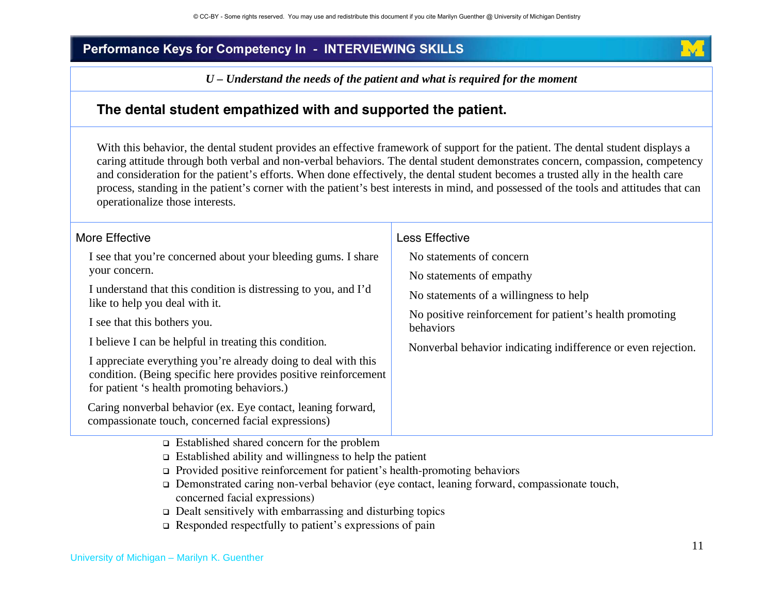*U – Understand the needs of the patient and what is required for the moment* 

## **The dental student empathized with and supported the patient.**

With this behavior, the dental student provides an effective framework of support for the patient. The dental student displays a caring attitude through both verbal and non-verbal behaviors. The dental student demonstrates concern, compassion, competency and consideration for the patient's efforts. When done effectively, the dental student becomes a trusted ally in the health care process, standing in the patient's corner with the patient's best interests in mind, and possessed of the tools and attitudes that can operationalize those interests.

| More Effective<br>I see that you're concerned about your bleeding gums. I share<br>your concern.<br>I understand that this condition is distressing to you, and I'd<br>like to help you deal with it.<br>I see that this bothers you.<br>I believe I can be helpful in treating this condition.<br>I appreciate everything you're already doing to deal with this<br>condition. (Being specific here provides positive reinforcement<br>for patient 's health promoting behaviors.)<br>Caring nonverbal behavior (ex. Eye contact, leaning forward,<br>compassionate touch, concerned facial expressions) | Less Effective<br>No statements of concern<br>No statements of empathy<br>No statements of a willingness to help<br>No positive reinforcement for patient's health promoting<br>behaviors<br>Nonverbal behavior indicating indifference or even rejection. |
|-----------------------------------------------------------------------------------------------------------------------------------------------------------------------------------------------------------------------------------------------------------------------------------------------------------------------------------------------------------------------------------------------------------------------------------------------------------------------------------------------------------------------------------------------------------------------------------------------------------|------------------------------------------------------------------------------------------------------------------------------------------------------------------------------------------------------------------------------------------------------------|
| $\Box$ Established shared concern for the problem<br>$\Box$ Established ability and willingness to help the patient<br>$\Box$ Provided positive reinforcement for patient's health-promoting behaviors                                                                                                                                                                                                                                                                                                                                                                                                    |                                                                                                                                                                                                                                                            |

- Demonstrated caring non-verbal behavior (eye contact, leaning forward, compassionate touch, concerned facial expressions)
- $\Box$  Dealt sensitively with embarrassing and disturbing topics
- $\Box$  Responded respectfully to patient's expressions of pain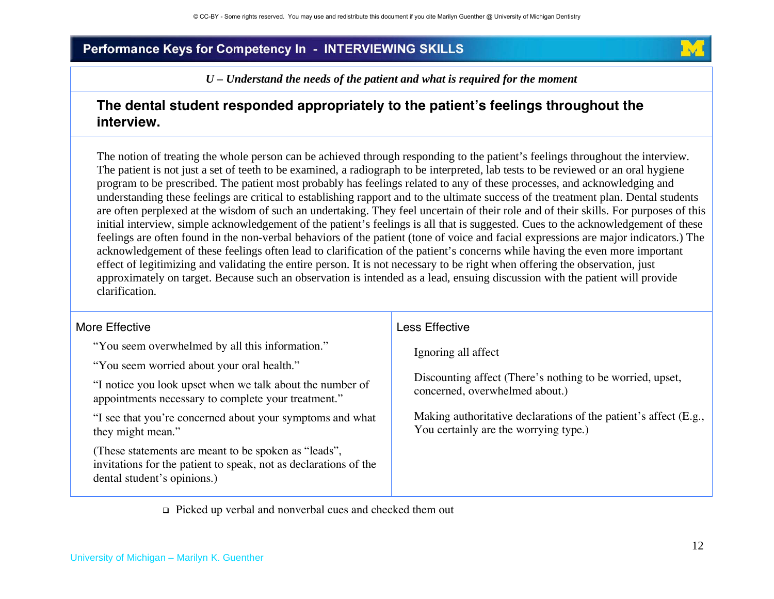*U – Understand the needs of the patient and what is required for the moment*

## **The dental student responded appropriately to the patients feelings throughout the interview.**

The notion of treating the whole person can be achieved through responding to the patient's feelings throughout the interview. The patient is not just a set of teeth to be examined, a radiograph to be interpreted, lab tests to be reviewed or an oral hygiene program to be prescribed. The patient most probably has feelings related to any of these processes, and acknowledging and understanding these feelings are critical to establishing rapport and to the ultimate success of the treatment plan. Dental students are often perplexed at the wisdom of such an undertaking. They feel uncertain of their role and of their skills. For purposes of this initial interview, simple acknowledgement of the patient's feelings is all that is suggested. Cues to the acknowledgement of these feelings are often found in the non-verbal behaviors of the patient (tone of voice and facial expressions are major indicators.) The acknowledgement of these feelings often lead to clarification of the patient's concerns while having the even more important effect of legitimizing and validating the entire person. It is not necessary to be right when offering the observation, just approximately on target. Because such an observation is intended as a lead, ensuing discussion with the patient will provide clarification.

| More Effective                                                                                                                                         | Less Effective                                                                                            |
|--------------------------------------------------------------------------------------------------------------------------------------------------------|-----------------------------------------------------------------------------------------------------------|
| "You seem overwhelmed by all this information."                                                                                                        | Ignoring all affect                                                                                       |
| "You seem worried about your oral health."                                                                                                             | Discounting affect (There's nothing to be worried, upset,<br>concerned, overwhelmed about.)               |
| "I notice you look upset when we talk about the number of<br>appointments necessary to complete your treatment."                                       |                                                                                                           |
| "I see that you're concerned about your symptoms and what<br>they might mean."                                                                         | Making authoritative declarations of the patient's affect (E.g.,<br>You certainly are the worrying type.) |
| These statements are meant to be spoken as "leads",<br>invitations for the patient to speak, not as declarations of the<br>dental student's opinions.) |                                                                                                           |

Picked up verbal and nonverbal cues and checked them out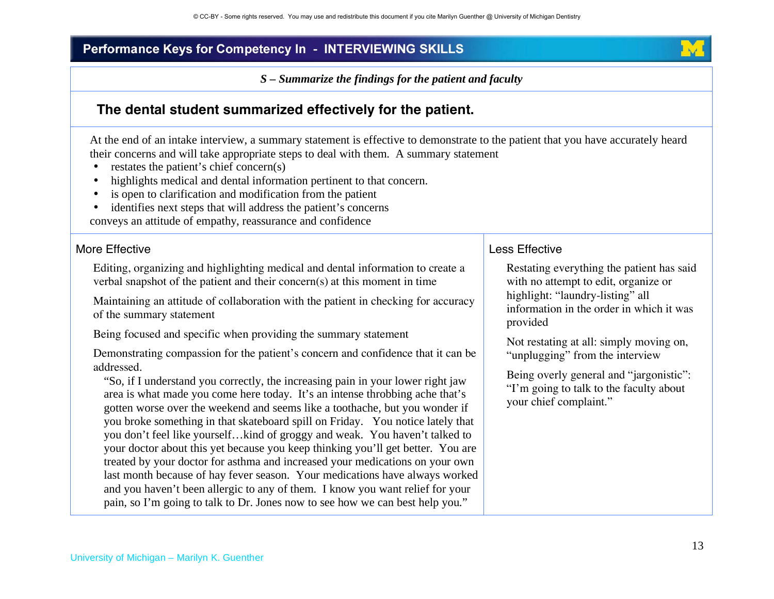*S – Summarize the findings for the patient and faculty* 



## **The dental student summarized effectively for the patient.**

At the end of an intake interview, a summary statement is effective to demonstrate to the patient that you have accurately heard their concerns and will take appropriate steps to deal with them. A summary statement

- •restates the patient's chief concern(s)
- •highlights medical and dental information pertinent to that concern.
- •is open to clarification and modification from the patient
- identifies next steps that will address the patient's concerns

conveys an attitude of empathy, reassurance and confidence

#### More Effective

Editing, organizing and highlighting medical and dental information to create a verbal snapshot of the patient and their concern(s) at this moment in time

Maintaining an attitude of collaboration with the patient in checking for accuracy of the summary statement

Being focused and specific when providing the summary statement

Demonstrating compassion for the patient's concern and confidence that it can be addressed.

"So, if I understand you correctly, the increasing pain in your lower right jaw area is what made you come here today. It's an intense throbbing ache that's gotten worse over the weekend and seems like a toothache, but you wonder if you broke something in that skateboard spill on Friday. You notice lately that you don't feel like yourself…kind of groggy and weak. You haven't talked to your doctor about this yet because you keep thinking you'll get better. You are treated by your doctor for asthma and increased your medications on your own last month because of hay fever season. Your medications have always worked and you haven't been allergic to any of them. I know you want relief for your pain, so I'm going to talk to Dr. Jones now to see how we can best help you."

#### Less Effective

Restating everything the patient has said with no attempt to edit, organize or highlight: "laundry-listing" all information in the order in which it was provided

Not restating at all: simply moving on, "unplugging" from the interview

Being overly general and "jargonistic": "I'm going to talk to the faculty about your chief complaint."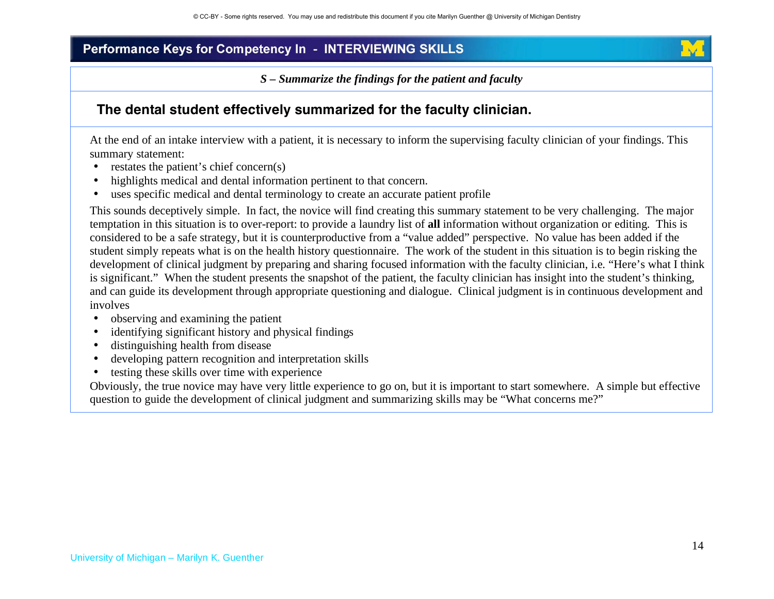*S – Summarize the findings for the patient and faculty*

### **The dental student effectively summarized for the faculty clinician.**

At the end of an intake interview with a patient, it is necessary to inform the supervising faculty clinician of your findings. This summary statement:

- •restates the patient's chief concern(s)
- •highlights medical and dental information pertinent to that concern.
- •uses specific medical and dental terminology to create an accurate patient profile

This sounds deceptively simple. In fact, the novice will find creating this summary statement to be very challenging. The major temptation in this situation is to over-report: to provide a laundry list of **all** information without organization or editing. This is considered to be a safe strategy, but it is counterproductive from a "value added" perspective. No value has been added if the student simply repeats what is on the health history questionnaire. The work of the student in this situation is to begin risking the development of clinical judgment by preparing and sharing focused information with the faculty clinician, i.e. "Here's what I think is significant." When the student presents the snapshot of the patient, the faculty clinician has insight into the student's thinking, and can guide its development through appropriate questioning and dialogue. Clinical judgment is in continuous development and involves

- •observing and examining the patient
- •identifying significant history and physical findings
- •distinguishing health from disease
- •developing pattern recognition and interpretation skills
- •testing these skills over time with experience

Obviously, the true novice may have very little experience to go on, but it is important to start somewhere. A simple but effective question to guide the development of clinical judgment and summarizing skills may be "What concerns me?"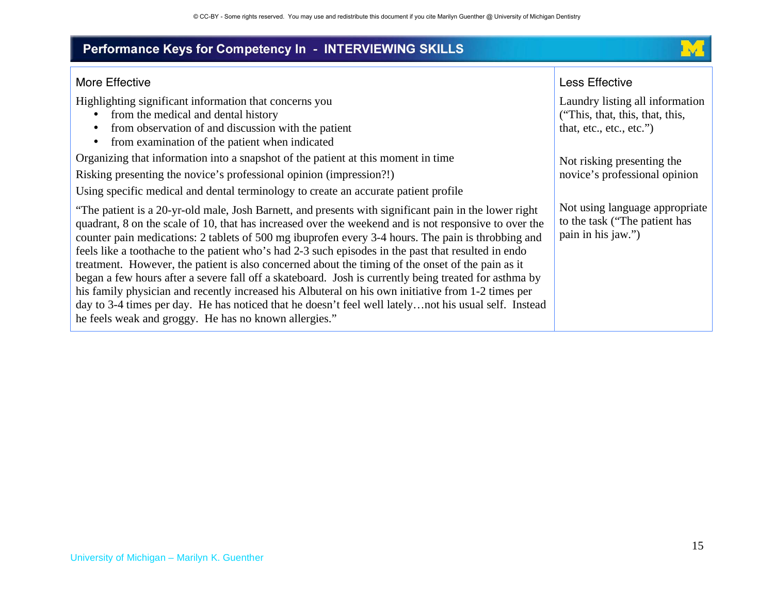

#### More Effective

Highlighting significant information that concerns you

- from the medical and dental history
- from observation of and discussion with the patient
- from examination of the patient when indicated

Organizing that information into a snapshot of the patient at this moment in time

Risking presenting the novice's professional opinion (impression?!)

Using specific medical and dental terminology to create an accurate patient profile

"The patient is a 20-yr-old male, Josh Barnett, and presents with significant pain in the lower right quadrant, 8 on the scale of 10, that has increased over the weekend and is not responsive to over the counter pain medications: 2 tablets of 500 mg ibuprofen every 3-4 hours. The pain is throbbing and feels like a toothache to the patient who's had 2-3 such episodes in the past that resulted in endo treatment. However, the patient is also concerned about the timing of the onset of the pain as it began a few hours after a severe fall off a skateboard. Josh is currently being treated for asthma by his family physician and recently increased his Albuteral on his own initiative from 1-2 times per day to 3-4 times per day. He has noticed that he doesn't feel well lately…not his usual self. Instead he feels weak and groggy. He has no known allergies."

#### Less Effective

Laundry listing all information ("This, that, this, that, this, that, etc., etc., etc.")

Not risking presenting the novice's professional opinion

Not using language appropriate to the task ("The patient has pain in his jaw.")